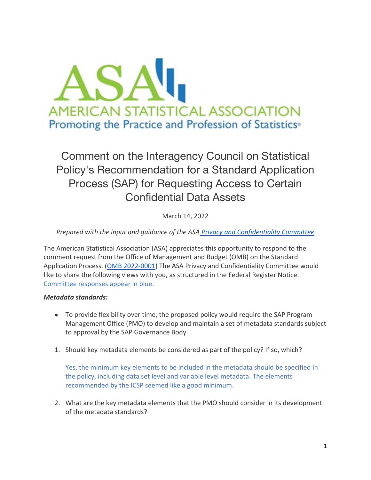

Comment on the Interagency Council on Statistical Policy's Recommendation for a Standard Application Process (SAP) for Requesting Access to Certain Confidential Data Assets

March 14, 2022

# *Prepared with the input and guidance of the ASA [Privacy and Confidentiality Committee](https://ww2.amstat.org/committees/commdetails.cfm?txtComm=CCNPRO02)*

The American Statistical Association (ASA) appreciates this opportunity to respond to the comment request from the Office of Management and Budget (OMB) on the Standard Application Process. [\(OMB 2022-0001\)](https://www.federalregister.gov/documents/2022/01/14/2022-00620/the-interagency-council-on-statistical-policys-recommendation-for-a-standard-application-process-sap) The ASA Privacy and Confidentiality Committee would like to share the following views with you, as structured in the Federal Register Notice. Committee responses appear in blue.

## *Metadata standards:*

- To provide flexibility over time, the proposed policy would require the SAP Program Management Office (PMO) to develop and maintain a set of metadata standards subject to approval by the SAP Governance Body.
- 1. Should key metadata elements be considered as part of the policy? If so, which?

Yes, the minimum key elements to be included in the metadata should be specified in the policy, including data set level and variable level metadata. The elements recommended by the ICSP seemed like a good minimum.

2. What are the key metadata elements that the PMO should consider in its development of the metadata standards?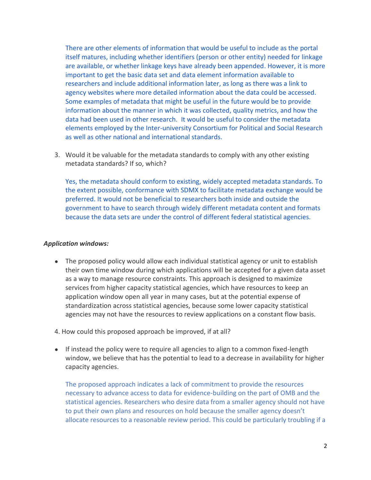There are other elements of information that would be useful to include as the portal itself matures, including whether identifiers (person or other entity) needed for linkage are available, or whether linkage keys have already been appended. However, it is more important to get the basic data set and data element information available to researchers and include additional information later, as long as there was a link to agency websites where more detailed information about the data could be accessed. Some examples of metadata that might be useful in the future would be to provide information about the manner in which it was collected, quality metrics, and how the data had been used in other research. It would be useful to consider the metadata elements employed by the Inter-university Consortium for Political and Social Research as well as other national and international standards.

3. Would it be valuable for the metadata standards to comply with any other existing metadata standards? If so, which?

Yes, the metadata should conform to existing, widely accepted metadata standards. To the extent possible, conformance with SDMX to facilitate metadata exchange would be preferred. It would not be beneficial to researchers both inside and outside the government to have to search through widely different metadata content and formats because the data sets are under the control of different federal statistical agencies.

### *Application windows:*

- The proposed policy would allow each individual statistical agency or unit to establish their own time window during which applications will be accepted for a given data asset as a way to manage resource constraints. This approach is designed to maximize services from higher capacity statistical agencies, which have resources to keep an application window open all year in many cases, but at the potential expense of standardization across statistical agencies, because some lower capacity statistical agencies may not have the resources to review applications on a constant flow basis.
- 4. How could this proposed approach be improved, if at all?
- If instead the policy were to require all agencies to align to a common fixed-length window, we believe that has the potential to lead to a decrease in availability for higher capacity agencies.

The proposed approach indicates a lack of commitment to provide the resources necessary to advance access to data for evidence-building on the part of OMB and the statistical agencies. Researchers who desire data from a smaller agency should not have to put their own plans and resources on hold because the smaller agency doesn't allocate resources to a reasonable review period. This could be particularly troubling if a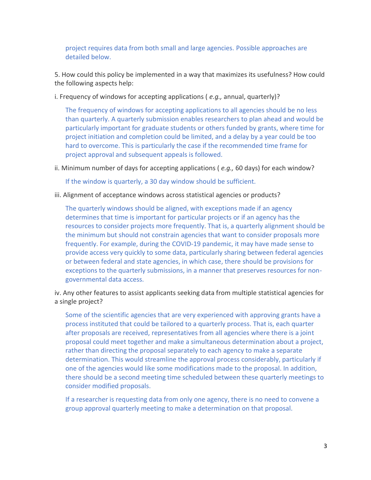project requires data from both small and large agencies. Possible approaches are detailed below.

5. How could this policy be implemented in a way that maximizes its usefulness? How could the following aspects help:

i. Frequency of windows for accepting applications ( *e.g.,* annual, quarterly)?

The frequency of windows for accepting applications to all agencies should be no less than quarterly. A quarterly submission enables researchers to plan ahead and would be particularly important for graduate students or others funded by grants, where time for project initiation and completion could be limited, and a delay by a year could be too hard to overcome. This is particularly the case if the recommended time frame for project approval and subsequent appeals is followed.

ii. Minimum number of days for accepting applications ( *e.g.,* 60 days) for each window?

If the window is quarterly, a 30 day window should be sufficient.

iii. Alignment of acceptance windows across statistical agencies or products?

The quarterly windows should be aligned, with exceptions made if an agency determines that time is important for particular projects or if an agency has the resources to consider projects more frequently. That is, a quarterly alignment should be the minimum but should not constrain agencies that want to consider proposals more frequently. For example, during the COVID-19 pandemic, it may have made sense to provide access very quickly to some data, particularly sharing between federal agencies or between federal and state agencies, in which case, there should be provisions for exceptions to the quarterly submissions, in a manner that preserves resources for nongovernmental data access.

iv. Any other features to assist applicants seeking data from multiple statistical agencies for a single project?

Some of the scientific agencies that are very experienced with approving grants have a process instituted that could be tailored to a quarterly process. That is, each quarter after proposals are received, representatives from all agencies where there is a joint proposal could meet together and make a simultaneous determination about a project, rather than directing the proposal separately to each agency to make a separate determination. This would streamline the approval process considerably, particularly if one of the agencies would like some modifications made to the proposal. In addition, there should be a second meeting time scheduled between these quarterly meetings to consider modified proposals.

If a researcher is requesting data from only one agency, there is no need to convene a group approval quarterly meeting to make a determination on that proposal.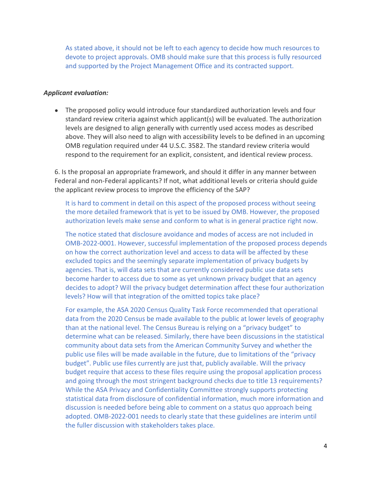As stated above, it should not be left to each agency to decide how much resources to devote to project approvals. OMB should make sure that this process is fully resourced and supported by the Project Management Office and its contracted support.

#### *Applicant evaluation:*

• The proposed policy would introduce four standardized authorization levels and four standard review criteria against which applicant(s) will be evaluated. The authorization levels are designed to align generally with currently used access modes as described above. They will also need to align with accessibility levels to be defined in an upcoming OMB regulation required under 44 U.S.C. 3582. The standard review criteria would respond to the requirement for an explicit, consistent, and identical review process.

6. Is the proposal an appropriate framework, and should it differ in any manner between Federal and non-Federal applicants? If not, what additional levels or criteria should guide the applicant review process to improve the efficiency of the SAP?

It is hard to comment in detail on this aspect of the proposed process without seeing the more detailed framework that is yet to be issued by OMB. However, the proposed authorization levels make sense and conform to what is in general practice right now.

The notice stated that disclosure avoidance and modes of access are not included in OMB-2022-0001. However, successful implementation of the proposed process depends on how the correct authorization level and access to data will be affected by these excluded topics and the seemingly separate implementation of privacy budgets by agencies. That is, will data sets that are currently considered public use data sets become harder to access due to some as yet unknown privacy budget that an agency decides to adopt? Will the privacy budget determination affect these four authorization levels? How will that integration of the omitted topics take place?

For example, the ASA 2020 Census Quality Task Force recommended that operational data from the 2020 Census be made available to the public at lower levels of geography than at the national level. The Census Bureau is relying on a "privacy budget" to determine what can be released. Similarly, there have been discussions in the statistical community about data sets from the American Community Survey and whether the public use files will be made available in the future, due to limitations of the "privacy budget". Public use files currently are just that, publicly available. Will the privacy budget require that access to these files require using the proposal application process and going through the most stringent background checks due to title 13 requirements? While the ASA Privacy and Confidentiality Committee strongly supports protecting statistical data from disclosure of confidential information, much more information and discussion is needed before being able to comment on a status quo approach being adopted. OMB-2022-001 needs to clearly state that these guidelines are interim until the fuller discussion with stakeholders takes place.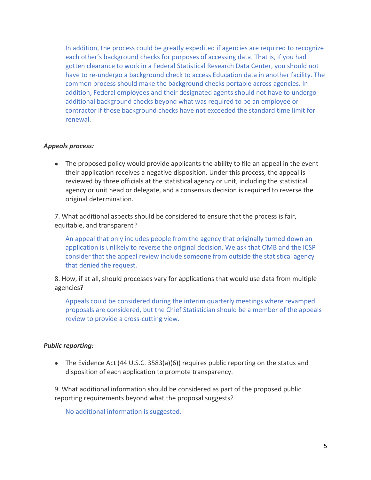In addition, the process could be greatly expedited if agencies are required to recognize each other's background checks for purposes of accessing data. That is, if you had gotten clearance to work in a Federal Statistical Research Data Center, you should not have to re-undergo a background check to access Education data in another facility. The common process should make the background checks portable across agencies. In addition, Federal employees and their designated agents should not have to undergo additional background checks beyond what was required to be an employee or contractor if those background checks have not exceeded the standard time limit for renewal.

### *Appeals process:*

• The proposed policy would provide applicants the ability to file an appeal in the event their application receives a negative disposition. Under this process, the appeal is reviewed by three officials at the statistical agency or unit, including the statistical agency or unit head or delegate, and a consensus decision is required to reverse the original determination.

7. What additional aspects should be considered to ensure that the process is fair, equitable, and transparent?

An appeal that only includes people from the agency that originally turned down an application is unlikely to reverse the original decision. We ask that OMB and the ICSP consider that the appeal review include someone from outside the statistical agency that denied the request.

8. How, if at all, should processes vary for applications that would use data from multiple agencies?

Appeals could be considered during the interim quarterly meetings where revamped proposals are considered, but the Chief Statistician should be a member of the appeals review to provide a cross-cutting view.

## *Public reporting:*

● The Evidence Act (44 U.S.C. 3583(a)(6)) requires public reporting on the status and disposition of each application to promote transparency.

9. What additional information should be considered as part of the proposed public reporting requirements beyond what the proposal suggests?

No additional information is suggested.